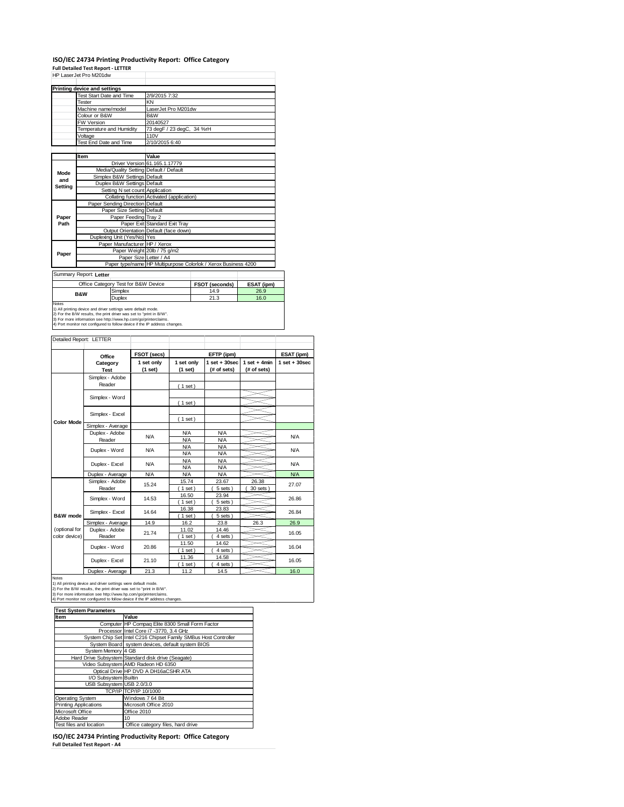## **ISO/IEC 24734 Printing Productivity Report: Office Category**

**Full Detailed Test Report ‐ LETTER**

|                                     | HP LaserJet Pro M201dw                                                                                                               |                                            |                                                                |            |
|-------------------------------------|--------------------------------------------------------------------------------------------------------------------------------------|--------------------------------------------|----------------------------------------------------------------|------------|
|                                     |                                                                                                                                      |                                            |                                                                |            |
|                                     | <b>Printing device and settings</b>                                                                                                  |                                            |                                                                |            |
|                                     | <b>Test Start Date and Time</b>                                                                                                      | 2/9/2015 7:32                              |                                                                |            |
|                                     | Tester                                                                                                                               | KN                                         |                                                                |            |
|                                     | Machine name/model                                                                                                                   | LaserJet Pro M201dw                        |                                                                |            |
|                                     | Colour or B&W                                                                                                                        | B&W                                        |                                                                |            |
|                                     | <b>FW Version</b>                                                                                                                    | 20140527                                   |                                                                |            |
|                                     | Temperature and Humidity                                                                                                             | 73 degF / 23 degC, 34 %rH                  |                                                                |            |
|                                     | Voltage                                                                                                                              | 110V                                       |                                                                |            |
|                                     | Test End Date and Time                                                                                                               | 2/10/2015 6:40                             |                                                                |            |
|                                     |                                                                                                                                      |                                            |                                                                |            |
|                                     | Item                                                                                                                                 | Value                                      |                                                                |            |
| Mode<br>and<br><b>Setting</b>       | Driver Version 61.165.1.17779                                                                                                        |                                            |                                                                |            |
|                                     | Media/Quality Setting Default / Default                                                                                              |                                            |                                                                |            |
|                                     | Simplex B&W Settings Default                                                                                                         |                                            |                                                                |            |
|                                     | Duplex B&W Settings Default                                                                                                          |                                            |                                                                |            |
|                                     | Setting N set count Application                                                                                                      |                                            |                                                                |            |
|                                     |                                                                                                                                      | Collating function Activated (application) |                                                                |            |
|                                     | Paper Sending Direction Default                                                                                                      |                                            |                                                                |            |
|                                     | Paper Size Setting Default                                                                                                           |                                            |                                                                |            |
| Paper                               | Paper Feeding Tray 2                                                                                                                 |                                            |                                                                |            |
| Path                                |                                                                                                                                      | Paper Exit Standard Exit Tray              |                                                                |            |
|                                     |                                                                                                                                      | Output Orientation Default (face down)     |                                                                |            |
|                                     | Duplexing Unit (Yes/No) Yes                                                                                                          |                                            |                                                                |            |
|                                     | Paper Manufacturer HP / Xerox                                                                                                        |                                            |                                                                |            |
| Paper                               |                                                                                                                                      | Paper Weight 20lb / 75 g/m2                |                                                                |            |
|                                     |                                                                                                                                      | Paper Size Letter / A4                     |                                                                |            |
|                                     |                                                                                                                                      |                                            | Paper type/name HP Multipurpose Colorlok / Xerox Business 4200 |            |
|                                     | Summary Report: Letter                                                                                                               |                                            |                                                                |            |
|                                     | Office Category Test for B&W Device                                                                                                  |                                            | FSOT (seconds)                                                 | ESAT (ipm) |
| Simplex<br><b>B&amp;W</b><br>Duplex |                                                                                                                                      |                                            | 14.9                                                           | 26.9       |
|                                     |                                                                                                                                      |                                            | 21.3                                                           | 16.0       |
| Notes                               | 1) All printing device and driver settings were default mode.<br>2) For the B/W results, the print driver was set to "print in B/W". |                                            |                                                                |            |

2) For the B/W results, the print driver was set to "print in B/W". 3) For more information see http://www.hp.com/go/printerclaims. 4) Port monitor not configured to follow device if the IP address changes.

| Detailed Report: LETTER        |                           |                       |                          |                                  |                               |                   |
|--------------------------------|---------------------------|-----------------------|--------------------------|----------------------------------|-------------------------------|-------------------|
|                                | Office                    | FSOT (secs)           |                          | EFTP (ipm)                       |                               | ESAT (ipm)        |
|                                | Category<br><b>Test</b>   | 1 set only<br>(1 set) | 1 set only<br>(1 set)    | $1$ set $+30$ sec<br>(# of sets) | $1$ set + 4min<br>(# of sets) | $1$ set $+30$ sec |
|                                | Simplex - Adobe<br>Reader |                       | (1 set)                  |                                  |                               |                   |
|                                | Simplex - Word            |                       | (1 set)                  |                                  |                               |                   |
|                                | Simplex - Excel           |                       |                          |                                  |                               |                   |
| <b>Color Mode</b>              | Simplex - Average         |                       | $1$ set)                 |                                  |                               |                   |
|                                | Duplex - Adobe<br>Reader  | N/A                   | <b>N/A</b><br><b>N/A</b> | <b>N/A</b><br><b>N/A</b>         |                               | <b>N/A</b>        |
|                                | Duplex - Word             | <b>N/A</b>            | <b>N/A</b><br><b>N/A</b> | <b>N/A</b><br><b>N/A</b>         |                               | <b>N/A</b>        |
|                                | Duplex - Excel            | N/A                   | <b>N/A</b><br><b>N/A</b> | <b>N/A</b><br><b>N/A</b>         |                               | <b>N/A</b>        |
|                                | Duplex - Average          | <b>N/A</b>            | <b>N/A</b>               | <b>N/A</b>                       |                               | <b>N/A</b>        |
|                                | Simplex - Adobe<br>Reader | 15.24                 | 15.74<br>$1$ set)        | 23.67<br>5 sets)                 | 26.38<br>30 sets              | 27.07             |
|                                | Simplex - Word            | 14.53                 | 16.50<br>$1$ set)        | 23.94<br>5 sets)                 |                               | 26.86             |
| B&W mode                       | Simplex - Excel           | 14.64                 | 16.38<br>$1$ set)        | 23.83<br>5 sets)                 |                               | 26.84             |
|                                | Simplex - Average         | 14.9                  | 16.2                     | 23.8                             | 26.3                          | 26.9              |
| (optional for<br>color device) | Duplex - Adobe<br>Reader  | 21.74                 | 11.02<br>$1$ set)        | 14.46<br>4 sets)                 |                               | 16.05             |
|                                | Duplex - Word             | 20.86                 | 11.50<br>$1$ set)        | 14.62<br>4 sets)                 |                               | 16.04             |
|                                | Duplex - Excel            | 21.10                 | 11.36<br>$1$ set)        | 14.58<br>4 sets)                 |                               | 16.05             |
|                                | Det and the co-           | $\sim$ $\sim$         | $\overline{\phantom{a}}$ | $\cdots$                         |                               | $\sim$            |

Notes<br>
19. Notes<br>
1) All printing device and driver settings were default mode.<br>
2) For the B/W results, the print driver was set to "print in B/W".<br>
3) For more information see http://www.hp.com/go/printerclaims.<br>
3) Fo

| <b>Test System Parameters</b> |                                                                 |  |  |
|-------------------------------|-----------------------------------------------------------------|--|--|
| <b>Item</b>                   | Value                                                           |  |  |
|                               | Computer HP Compaq Elite 8300 Small Form Factor                 |  |  |
|                               | Processor Intel Core i7 -3770, 3.4 GHz                          |  |  |
|                               | System Chip Set Intel C216 Chipset Family SMBus Host Controller |  |  |
|                               | System Board system devices, default system BIOS                |  |  |
| System Memory 4 GB            |                                                                 |  |  |
|                               | Hard Drive Subsystem Standard disk drive (Seagate)              |  |  |
|                               | Video Subsystem AMD Radeon HD 6350                              |  |  |
|                               | Optical Drive HP DVD A DH16aCSHR ATA                            |  |  |
| I/O Subsystem Builtin         |                                                                 |  |  |
| USB Subsystem USB 2.0/3.0     |                                                                 |  |  |
|                               | TCP/IP TCP/IP 10/1000                                           |  |  |
| Operating System              | Windows 7 64 Bit                                                |  |  |
| <b>Printing Applications</b>  | Microsoft Office 2010                                           |  |  |
| Microsoft Office              | Office 2010                                                     |  |  |
| Adobe Reader                  | 10                                                              |  |  |
| Test files and location       | Office category files, hard drive                               |  |  |

**ISO/IEC 24734 Printing Productivity Report: Office Category Full Detailed Test Report ‐ A4**